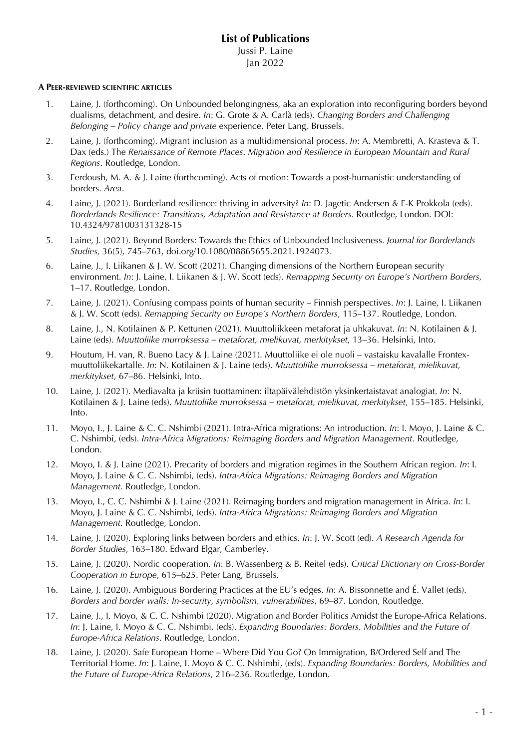### **A PEER-REVIEWED SCIENTIFIC ARTICLES**

- 1. Laine, J. (forthcoming). On Unbounded belongingness, aka an exploration into reconfiguring borders beyond dualisms, detachment, and desire. *In*: G. Grote & A. Carlà (eds). *Changing Borders and Challenging Belonging – Policy change and private* experience. Peter Lang, Brussels.
- 2. Laine, J. (forthcoming). Migrant inclusion as a multidimensional process. *In*: A. Membretti, A. Krasteva & T. Dax (eds.) The *Renaissance of Remote Places*. *Migration and Resilience in European Mountain and Rural Regions*. Routledge, London.
- 3. Ferdoush, M. A. & J. Laine (forthcoming). Acts of motion: Towards a post-humanistic understanding of borders. *Area*.
- 4. Laine, J. (2021). Borderland resilience: thriving in adversity? *In*: D. Jagetic Andersen & E-K Prokkola (eds). *Borderlands Resilience: Transitions, Adaptation and Resistance at Borders*. Routledge, London. DOI: 10.4324/9781003131328-15
- 5. Laine, J. (2021). Beyond Borders: Towards the Ethics of Unbounded Inclusiveness. *Journal for Borderlands Studies,* 36(5), 745–763, doi.org/10.1080/08865655.2021.1924073.
- 6. Laine, J., I. Liikanen & J. W. Scott (2021). Changing dimensions of the Northern European security environment. *In*: J. Laine, I. Liikanen & J. W. Scott (eds). *Remapping Security on Europe's Northern Borders*, 1–17. Routledge, London.
- 7. Laine, J. (2021). Confusing compass points of human security Finnish perspectives. *In*: J. Laine, I. Liikanen & J. W. Scott (eds). *Remapping Security on Europe's Northern Borders*, 115–137. Routledge, London.
- 8. Laine, J., N. Kotilainen & P. Kettunen (2021). Muuttoliikkeen metaforat ja uhkakuvat. *In*: N. Kotilainen & J. Laine (eds). *Muuttoliike murroksessa – metaforat, mielikuvat, merkitykset*, 13–36. Helsinki, Into.
- 9. Houtum, H. van, R. Bueno Lacy & J. Laine (2021). Muuttoliike ei ole nuoli vastaisku kavalalle Frontexmuuttoliikekartalle. *In*: N. Kotilainen & J. Laine (eds). *Muuttoliike murroksessa – metaforat, mielikuvat, merkitykset*, 67–86. Helsinki, Into.
- 10. Laine, J. (2021). Mediavalta ja kriisin tuottaminen: iltapäivälehdistön yksinkertaistavat analogiat. *In*: N. Kotilainen & J. Laine (eds). *Muuttoliike murroksessa – metaforat, mielikuvat, merkitykset*, 155–185. Helsinki, Into.
- 11. Moyo, I., J. Laine & C. C. Nshimbi (2021). Intra-Africa migrations: An introduction. *In*: I. Moyo, J. Laine & C. C. Nshimbi, (eds). *Intra-Africa Migrations: Reimaging Borders and Migration Management*. Routledge, London.
- 12. Moyo, I. & J. Laine (2021). Precarity of borders and migration regimes in the Southern African region. *In*: I. Moyo, J. Laine & C. C. Nshimbi, (eds). *Intra-Africa Migrations: Reimaging Borders and Migration Management*. Routledge, London.
- 13. Moyo, I., C. C. Nshimbi & J. Laine (2021). Reimaging borders and migration management in Africa. *In*: I. Moyo, J. Laine & C. C. Nshimbi, (eds). *Intra-Africa Migrations: Reimaging Borders and Migration Management*. Routledge, London.
- 14. Laine, J. (2020). Exploring links between borders and ethics. *In*: J. W. Scott (ed). *A Research Agenda for Border Studies*, 163–180. Edward Elgar, Camberley.
- 15. Laine, J. (2020). Nordic cooperation. *In*: B. Wassenberg & B. Reitel (eds). *Critical Dictionary on Cross-Border Cooperation in Europe*, 615–625. Peter Lang, Brussels.
- 16. Laine, J. (2020). Ambiguous Bordering Practices at the EU's edges. *In*: A. Bissonnette and É. Vallet (eds). *Borders and border walls: In-security, symbolism, vulnerabilities*, 69–87. London, Routledge.
- 17. Laine, J., I. Moyo, & C. C. Nshimbi (2020). Migration and Border Politics Amidst the Europe-Africa Relations. *In*: J. Laine, I. Moyo & C. C. Nshimbi, (eds). *Expanding Boundaries: Borders, Mobilities and the Future of Europe-Africa Relations*. Routledge, London.
- 18. Laine, J. (2020). Safe European Home Where Did You Go? On Immigration, B/Ordered Self and The Territorial Home. *In*: J. Laine, I. Moyo & C. C. Nshimbi, (eds). *Expanding Boundaries: Borders, Mobilities and the Future of Europe-Africa Relations*, 216–236. Routledge, London.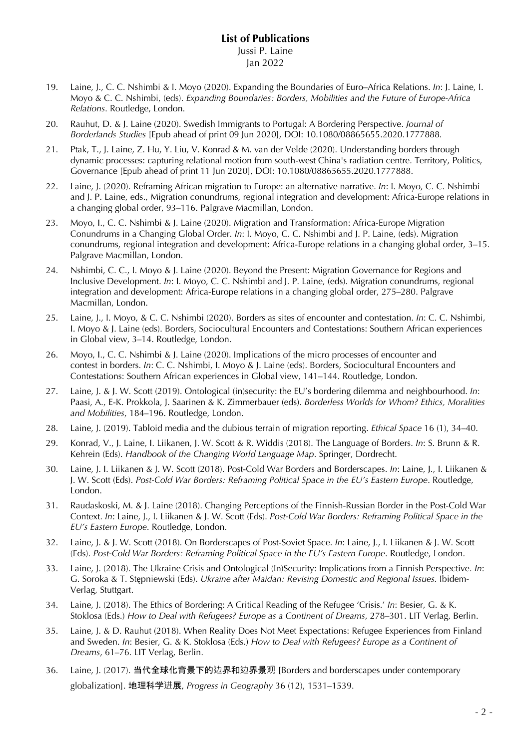- 19. Laine, J., C. C. Nshimbi & I. Moyo (2020). Expanding the Boundaries of Euro–Africa Relations. *In*: J. Laine, I. Moyo & C. C. Nshimbi, (eds). *Expanding Boundaries: Borders, Mobilities and the Future of Europe-Africa Relations*. Routledge, London.
- 20. Rauhut, D. & J. Laine (2020). Swedish Immigrants to Portugal: A Bordering Perspective. *Journal of Borderlands Studies* [Epub ahead of print 09 Jun 2020], DOI: 10.1080/08865655.2020.1777888.
- 21. Ptak, T., J. Laine, Z. Hu, Y. Liu, V. Konrad & M. van der Velde (2020). Understanding borders through dynamic processes: capturing relational motion from south-west China's radiation centre. Territory, Politics, Governance [Epub ahead of print 11 Jun 2020], DOI: 10.1080/08865655.2020.1777888.
- 22. Laine, J. (2020). Reframing African migration to Europe: an alternative narrative. *In*: I. Moyo, C. C. Nshimbi and J. P. Laine, eds., Migration conundrums, regional integration and development: Africa-Europe relations in a changing global order, 93–116. Palgrave Macmillan, London.
- 23. Moyo, I., C. C. Nshimbi & J. Laine (2020). Migration and Transformation: Africa-Europe Migration Conundrums in a Changing Global Order. *In*: I. Moyo, C. C. Nshimbi and J. P. Laine, (eds). Migration conundrums, regional integration and development: Africa-Europe relations in a changing global order, 3–15. Palgrave Macmillan, London.
- 24. Nshimbi, C. C., I. Moyo & J. Laine (2020). Beyond the Present: Migration Governance for Regions and Inclusive Development. *In*: I. Moyo, C. C. Nshimbi and J. P. Laine, (eds). Migration conundrums, regional integration and development: Africa-Europe relations in a changing global order, 275–280. Palgrave Macmillan, London.
- 25. Laine, J., I. Moyo, & C. C. Nshimbi (2020). Borders as sites of encounter and contestation. *In*: C. C. Nshimbi, I. Moyo & J. Laine (eds). Borders, Sociocultural Encounters and Contestations: Southern African experiences in Global view, 3–14. Routledge, London.
- 26. Moyo, I., C. C. Nshimbi & J. Laine (2020). Implications of the micro processes of encounter and contest in borders. *In*: C. C. Nshimbi, I. Moyo & J. Laine (eds). Borders, Sociocultural Encounters and Contestations: Southern African experiences in Global view, 141–144. Routledge, London.
- 27. Laine, J. & J. W. Scott (2019). Ontological (in)security: the EU's bordering dilemma and neighbourhood. *In*: Paasi, A., E-K. Prokkola, J. Saarinen & K. Zimmerbauer (eds). *Borderless Worlds for Whom? Ethics, Moralities and Mobilities*, 184–196. Routledge, London.
- 28. Laine, J. (2019). Tabloid media and the dubious terrain of migration reporting. *Ethical Space* 16 (1), 34–40.
- 29. Konrad, V., J. Laine, I. Liikanen, J. W. Scott & R. Widdis (2018). The Language of Borders. *In*: S. Brunn & R. Kehrein (Eds). *Handbook of the Changing World Language Map*. Springer, Dordrecht.
- 30. Laine, J. I. Liikanen & J. W. Scott (2018). Post-Cold War Borders and Borderscapes. *In*: Laine, J., I. Liikanen & J. W. Scott (Eds). *Post-Cold War Borders: Reframing Political Space in the EU's Eastern Europe*. Routledge, London.
- 31. Raudaskoski, M. & J. Laine (2018). Changing Perceptions of the Finnish-Russian Border in the Post-Cold War Context. *In*: Laine, J., I. Liikanen & J. W. Scott (Eds). *Post-Cold War Borders: Reframing Political Space in the EU's Eastern Europe*. Routledge, London.
- 32. Laine, J. & J. W. Scott (2018). On Borderscapes of Post-Soviet Space. *In*: Laine, J., I. Liikanen & J. W. Scott (Eds). *Post-Cold War Borders: Reframing Political Space in the EU's Eastern Europe*. Routledge, London.
- 33. Laine, J. (2018). The Ukraine Crisis and Ontological (In)Security: Implications from a Finnish Perspective. *In*: G. Soroka & T. Stępniewski (Eds). *Ukraine after Maidan: Revising Domestic and Regional Issues.* Ibidem-Verlag, Stuttgart.
- 34. Laine, J. (2018). The Ethics of Bordering: A Critical Reading of the Refugee 'Crisis.' *In*: Besier, G. & K. Stoklosa (Eds.) *How to Deal with Refugees? Europe as a Continent of Dreams*, 278–301. LIT Verlag, Berlin.
- 35. Laine, J. & D. Rauhut (2018). When Reality Does Not Meet Expectations: Refugee Experiences from Finland and Sweden. *In*: Besier, G. & K. Stoklosa (Eds.) *How to Deal with Refugees? Europe as a Continent of Dreams*, 61–76. LIT Verlag, Berlin.
- 36. Laine, J. (2017). 当代全球化背景下的边界和边界景观 [Borders and borderscapes under contemporary globalization]. 地理科学进展, *Progress in Geography* 36 (12), 1531–1539.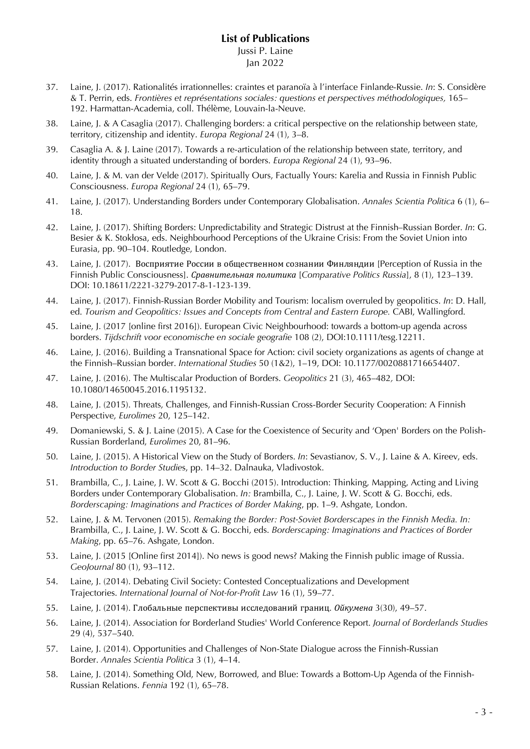- 37. Laine, J. (2017). Rationalités irrationnelles: craintes et paranoïa à l'interface Finlande-Russie. *In*: S. Considère & T. Perrin, eds. *Frontières et représentations sociales: questions et perspectives méthodologiques,* 165– 192. Harmattan-Academia, coll. Thélème, Louvain-la-Neuve.
- 38. Laine, J. & A Casaglia (2017). Challenging borders: a critical perspective on the relationship between state, territory, citizenship and identity. *Europa Regional* 24 (1), 3–8.
- 39. Casaglia A. & J. Laine (2017). Towards a re-articulation of the relationship between state, territory, and identity through a situated understanding of borders. *Europa Regional* 24 (1), 93–96.
- 40. Laine, J. & M. van der Velde (2017). Spiritually Ours, Factually Yours: Karelia and Russia in Finnish Public Consciousness. *Europa Regional* 24 (1), 65–79.
- 41. Laine, J. (2017). Understanding Borders under Contemporary Globalisation. *Annales Scientia Politica* 6 (1), 6– 18.
- 42. Laine, J. (2017). Shifting Borders: Unpredictability and Strategic Distrust at the Finnish–Russian Border. *In*: G. Besier & K. Stokłosa, eds. Neighbourhood Perceptions of the Ukraine Crisis: From the Soviet Union into Eurasia, pp. 90–104. Routledge, London.
- 43. Laine, J. (2017). Восприятие России в общественном сознании Финляндии [Perception of Russia in the Finnish Public Consciousness]. *Сравнительная политика* [*Comparative Politics Russia*], 8 (1), 123–139. DOI: 10.18611/2221-3279-2017-8-1-123-139.
- 44. Laine, J. (2017). Finnish-Russian Border Mobility and Tourism: localism overruled by geopolitics. *In*: D. Hall, ed. *Tourism and Geopolitics: Issues and Concepts from Central and Eastern Europe. CABI, Wallingford.*
- 45. Laine, J. (2017 [online first 2016]). European Civic Neighbourhood: towards a bottom-up agenda across borders. *Tijdschrift voor economische en sociale geografie* 108 (2), DOI:10.1111/tesg.12211.
- 46. Laine, J. (2016). Building a Transnational Space for Action: civil society organizations as agents of change at the Finnish–Russian border. *International Studies* 50 (1&2), 1–19, DOI: 10.1177/0020881716654407.
- 47. Laine, J. (2016). The Multiscalar Production of Borders. *Geopolitics* 21 (3), 465–482*,* DOI: 10.1080/14650045.2016.1195132.
- 48. Laine, J. (2015). Threats, Challenges, and Finnish-Russian Cross-Border Security Cooperation: A Finnish Perspective, *Eurolimes* 20, 125–142.
- 49. Domaniewski, S. & J. Laine (2015). A Case for the Coexistence of Security and 'Open' Borders on the Polish-Russian Borderland, *Eurolimes* 20, 81–96.
- 50. Laine, J. (2015). A Historical View on the Study of Borders. *In*: Sevastianov, S. V., J. Laine & A. Kireev, eds. *Introduction to Border Studie*s, pp. 14–32. Dalnauka, Vladivostok.
- 51. Brambilla, C., J. Laine, J. W. Scott & G. Bocchi (2015). Introduction: Thinking, Mapping, Acting and Living Borders under Contemporary Globalisation. *In:* Brambilla, C., J. Laine, J. W. Scott & G. Bocchi, eds. *Borderscaping: Imaginations and Practices of Border Making*, pp. 1–9. Ashgate, London.
- 52. Laine, J. & M. Tervonen (2015). *Remaking the Border: Post-Soviet Borderscapes in the Finnish Media. In:*  Brambilla, C., J. Laine, J. W. Scott & G. Bocchi, eds. *Borderscaping: Imaginations and Practices of Border Making*, pp. 65–76. Ashgate, London.
- 53. Laine, J. (2015 [Online first 2014]). No news is good news? Making the Finnish public image of Russia. *GeoJournal* 80 (1), 93–112.
- 54. Laine, J. (2014). Debating Civil Society: Contested Conceptualizations and Development Trajectories. *International Journal of Not-for-Profit Law* 16 (1), 59–77.
- 55. Laine, J. (2014). Глобальные перспективы исследований границ. *Ойкумена* 3(30), 49–57.
- 56. Laine, J. (2014). Association for Borderland Studies' World Conference Report. *Journal of Borderlands Studies* 29 (4), 537–540.
- 57. Laine, J. (2014). Opportunities and Challenges of Non-State Dialogue across the Finnish-Russian Border. *Annales Scientia Politica* 3 (1), 4–14.
- 58. Laine, J. (2014). Something Old, New, Borrowed, and Blue: Towards a Bottom-Up Agenda of the Finnish-Russian Relations. *Fennia* 192 (1), 65–78.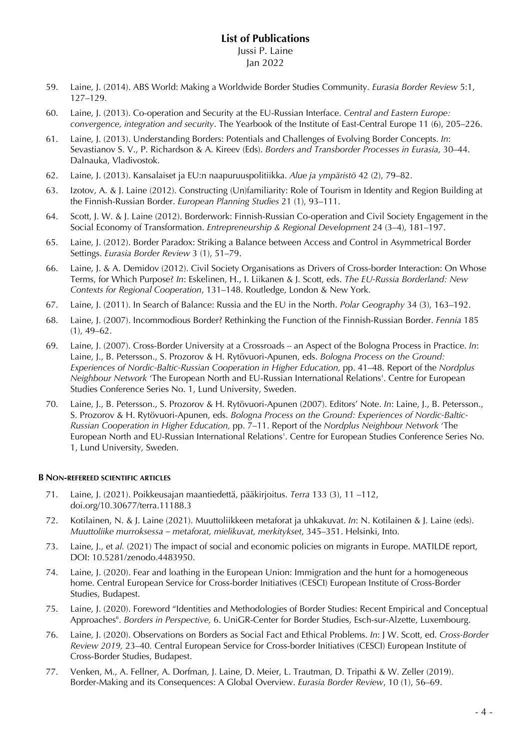# Jan 2022

- 59. Laine, J. (2014). ABS World: Making a Worldwide Border Studies Community. *Eurasia Border Review* 5:1, 127–129.
- 60. Laine, J. (2013). Co-operation and Security at the EU-Russian Interface. *Central and Eastern Europe: convergence, integration and security*. The Yearbook of the Institute of East-Central Europe 11 (6), 205–226.
- 61. Laine, J. (2013). Understanding Borders: Potentials and Challenges of Evolving Border Concepts. *In*: Sevastianov S. V., P. Richardson & A. Kireev (Eds). *Borders and Transborder Processes in Eurasia*, 30–44. Dalnauka, Vladivostok.
- 62. Laine, J. (2013). Kansalaiset ja EU:n naapuruuspolitiikka. *Alue ja ympäristö* 42 (2), 79–82.
- 63. Izotov, A. & J. Laine (2012). Constructing (Un)familiarity: Role of Tourism in Identity and Region Building at the Finnish-Russian Border. *European Planning Studies* 21 (1), 93–111.
- 64. Scott, J. W. & J. Laine (2012). Borderwork: Finnish-Russian Co-operation and Civil Society Engagement in the Social Economy of Transformation. *Entrepreneurship & Regional Development* 24 (3–4), 181–197.
- 65. Laine, J. (2012). Border Paradox: Striking a Balance between Access and Control in Asymmetrical Border Settings. *Eurasia Border Review* 3 (1), 51–79.
- 66. Laine, J. & A. Demidov (2012). Civil Society Organisations as Drivers of Cross-border Interaction: On Whose Terms, for Which Purpose? *In*: Eskelinen, H., I. Liikanen & J. Scott, eds. *The EU-Russia Borderland: New Contexts for Regional Cooperation*, 131–148. Routledge, London & New York.
- 67. Laine, J. (2011). In Search of Balance: Russia and the EU in the North. *Polar Geography* 34 (3), 163–192.
- 68. Laine, J. (2007). Incommodious Border? Rethinking the Function of the Finnish-Russian Border. *Fennia* 185 (1), 49–62.
- 69. Laine, J. (2007). Cross-Border University at a Crossroads an Aspect of the Bologna Process in Practice. *In*: Laine, J., B. Petersson., S. Prozorov & H. Rytövuori-Apunen, eds. *Bologna Process on the Ground: Experiences of Nordic-Baltic-Russian Cooperation in Higher Education,* pp. 41–48. Report of the *Nordplus Neighbour Network* 'The European North and EU-Russian International Relations'. Centre for European Studies Conference Series No. 1, Lund University, Sweden.
- 70. Laine, J., B. Petersson., S. Prozorov & H. Rytövuori-Apunen (2007). Editors' Note. *In*: Laine, J., B. Petersson., S. Prozorov & H. Rytövuori-Apunen, eds. *Bologna Process on the Ground: Experiences of Nordic-Baltic-Russian Cooperation in Higher Education,* pp. 7–11. Report of the *Nordplus Neighbour Network* 'The European North and EU-Russian International Relations'. Centre for European Studies Conference Series No. 1, Lund University, Sweden.

### **B NON-REFEREED SCIENTIFIC ARTICLES**

- 71. Laine, J. (2021). Poikkeusajan maantiedettä, pääkirjoitus. *Terra* 133 (3), 11 –112, doi.org/10.30677/terra.11188.3
- 72. Kotilainen, N. & J. Laine (2021). Muuttoliikkeen metaforat ja uhkakuvat. *In*: N. Kotilainen & J. Laine (eds). *Muuttoliike murroksessa – metaforat, mielikuvat, merkitykset*, 345–351. Helsinki, Into.
- 73. Laine, J., et *al.* (2021) The impact of social and economic policies on migrants in Europe. MATILDE report, DOI: 10.5281/zenodo.4483950.
- 74. Laine, J. (2020). Fear and loathing in the European Union: Immigration and the hunt for a homogeneous home. Central European Service for Cross-border Initiatives (CESCI) European Institute of Cross-Border Studies, Budapest.
- 75. Laine, J. (2020). Foreword "Identities and Methodologies of Border Studies: Recent Empirical and Conceptual Approaches". *Borders in Perspective,* 6. UniGR-Center for Border Studies, Esch-sur-Alzette, Luxembourg.
- 76. Laine, J. (2020). Observations on Borders as Social Fact and Ethical Problems. *In*: J W. Scott, ed. *Cross-Border Review 2019,* 23–40*.* Central European Service for Cross-border Initiatives (CESCI) European Institute of Cross-Border Studies, Budapest.
- 77. Venken, M., A. Fellner, A. Dorfman, J. Laine, D. Meier, L. Trautman, D. Tripathi & W. Zeller (2019). Border-Making and its Consequences: A Global Overview. *Eurasia Border Review*, 10 (1), 56–69.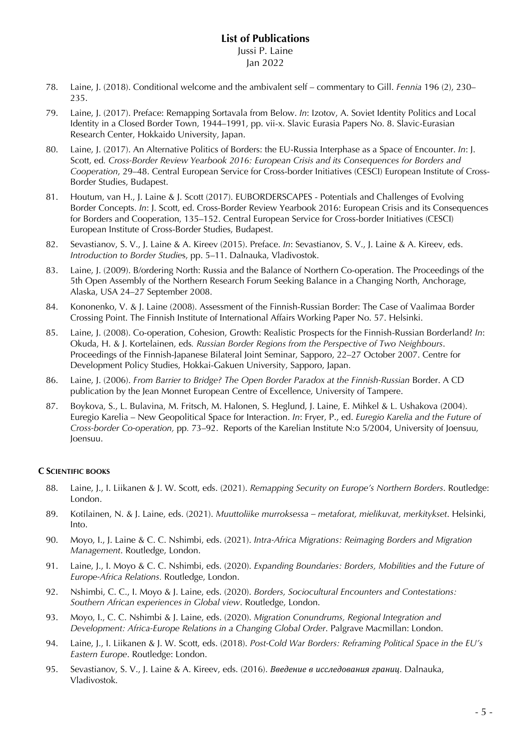- 78. Laine, J. (2018). Conditional welcome and the ambivalent self commentary to Gill. *Fennia* 196 (2), 230– 235.
- 79. Laine, J. (2017). Preface: Remapping Sortavala from Below. *In*: Izotov, A. Soviet Identity Politics and Local Identity in a Closed Border Town, 1944–1991, pp. vii-x. Slavic Eurasia Papers No. 8. Slavic-Eurasian Research Center, Hokkaido University, Japan.
- 80. Laine, J. (2017). An Alternative Politics of Borders: the EU-Russia Interphase as a Space of Encounter. *In*: J. Scott, ed*. Cross-Border Review Yearbook 2016: European Crisis and its Consequences for Borders and Cooperation*, 29–48. Central European Service for Cross-border Initiatives (CESCI) European Institute of Cross-Border Studies, Budapest.
- 81. Houtum, van H., J. Laine & J. Scott (2017). EUBORDERSCAPES Potentials and Challenges of Evolving Border Concepts. *In*: J. Scott, ed. Cross-Border Review Yearbook 2016: European Crisis and its Consequences for Borders and Cooperation, 135–152. Central European Service for Cross-border Initiatives (CESCI) European Institute of Cross-Border Studies, Budapest.
- 82. Sevastianov, S. V., J. Laine & A. Kireev (2015). Preface. *In*: Sevastianov, S. V., J. Laine & A. Kireev, eds. *Introduction to Border Studie*s, pp. 5–11. Dalnauka, Vladivostok.
- 83. Laine, J. (2009). B/ordering North: Russia and the Balance of Northern Co-operation. The Proceedings of the 5th Open Assembly of the Northern Research Forum Seeking Balance in a Changing North, Anchorage, Alaska, USA 24–27 September 2008.
- 84. Kononenko, V. & J. Laine (2008). Assessment of the Finnish-Russian Border: The Case of Vaalimaa Border Crossing Point. The Finnish Institute of International Affairs Working Paper No. 57. Helsinki.
- 85. Laine, J. (2008). Co-operation, Cohesion, Growth: Realistic Prospects for the Finnish-Russian Borderland? *In*: Okuda, H. & J. Kortelainen, eds*. Russian Border Regions from the Perspective of Two Neighbours*. Proceedings of the Finnish-Japanese Bilateral Joint Seminar, Sapporo, 22–27 October 2007. Centre for Development Policy Studies, Hokkai-Gakuen University, Sapporo, Japan.
- 86. Laine, J. (2006). *From Barrier to Bridge? The Open Border Paradox at the Finnish-Russian* Border. A CD publication by the Jean Monnet European Centre of Excellence, University of Tampere.
- 87. Boykova, S., L. Bulavina, M. Fritsch, M. Halonen, S. Heglund, J. Laine, E. Mihkel & L. Ushakova (2004). Euregio Karelia – New Geopolitical Space for Interaction. *In*: Fryer, P., ed. *Euregio Karelia and the Future of Cross-border Co-operation,* pp*.* 73–92. Reports of the Karelian Institute N:o 5/2004, University of Joensuu, Joensuu.

### **C SCIENTIFIC BOOKS**

- 88. Laine, J., I. Liikanen & J. W. Scott, eds. (2021). *Remapping Security on Europe's Northern Borders*. Routledge: London.
- 89. Kotilainen, N. & J. Laine, eds. (2021). *Muuttoliike murroksessa – metaforat, mielikuvat, merkitykset*. Helsinki, Into.
- 90. Moyo, I., J. Laine & C. C. Nshimbi, eds. (2021). *Intra-Africa Migrations: Reimaging Borders and Migration Management*. Routledge, London.
- 91. Laine, J., I. Moyo & C. C. Nshimbi, eds. (2020). *Expanding Boundaries: Borders, Mobilities and the Future of Europe-Africa Relations.* Routledge, London.
- 92. Nshimbi, C. C., I. Moyo & J. Laine, eds. (2020). *Borders, Sociocultural Encounters and Contestations: Southern African experiences in Global view*. Routledge, London.
- 93. Moyo, I., C. C. Nshimbi & J. Laine, eds. (2020). *Migration Conundrums, Regional Integration and Development: Africa-Europe Relations in a Changing Global Order*. Palgrave Macmillan: London.
- 94. Laine, J., I. Liikanen & J. W. Scott, eds. (2018). *Post-Cold War Borders: Reframing Political Space in the EU's Eastern Europe*. Routledge: London.
- 95. Sevastianov, S. V., J. Laine & A. Kireev, eds. (2016). *Введение в исследования границ*. Dalnauka, Vladivostok.